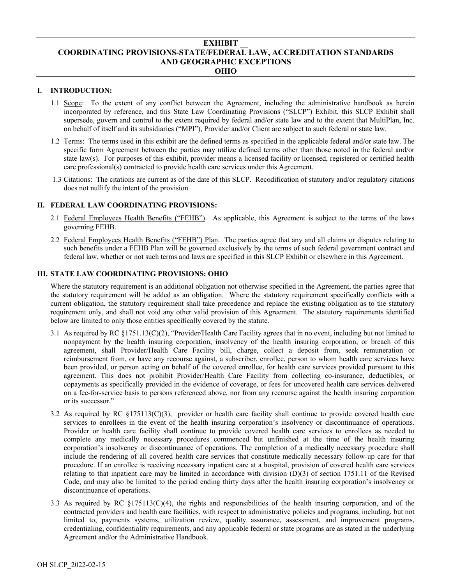# **EXHIBIT \_\_ COORDINATING PROVISIONS-STATE/FEDERAL LAW, ACCREDITATION STANDARDS AND GEOGRAPHIC EXCEPTIONS OHIO**

# **I. INTRODUCTION:**

- 1.1 Scope: To the extent of any conflict between the Agreement, including the administrative handbook as herein incorporated by reference, and this State Law Coordinating Provisions ("SLCP") Exhibit, this SLCP Exhibit shall supersede, govern and control to the extent required by federal and/or state law and to the extent that MultiPlan, Inc. on behalf of itself and its subsidiaries ("MPI"), Provider and/or Client are subject to such federal or state law.
- 1.2 Terms: The terms used in this exhibit are the defined terms as specified in the applicable federal and/or state law. The specific form Agreement between the parties may utilize defined terms other than those noted in the federal and/or state law(s). For purposes of this exhibit, provider means a licensed facility or licensed, registered or certified health care professional(s) contracted to provide health care services under this Agreement.
- 1.3 Citations: The citations are current as of the date of this SLCP. Recodification of statutory and/or regulatory citations does not nullify the intent of the provision.

## **II. FEDERAL LAW COORDINATING PROVISIONS:**

- 2.1 Federal Employees Health Benefits ("FEHB"). As applicable, this Agreement is subject to the terms of the laws governing FEHB.
- 2.2 Federal Employees Health Benefits ("FEHB") Plan. The parties agree that any and all claims or disputes relating to such benefits under a FEHB Plan will be governed exclusively by the terms of such federal government contract and federal law, whether or not such terms and laws are specified in this SLCP Exhibit or elsewhere in this Agreement.

## **III. STATE LAW COORDINATING PROVISIONS: OHIO**

Where the statutory requirement is an additional obligation not otherwise specified in the Agreement, the parties agree that the statutory requirement will be added as an obligation. Where the statutory requirement specifically conflicts with a current obligation, the statutory requirement shall take precedence and replace the existing obligation as to the statutory requirement only, and shall not void any other valid provision of this Agreement. The statutory requirements identified below are limited to only those entities specifically covered by the statute.

- 3.1 As required by RC §1751.13(C)(2), "Provider/Health Care Facility agrees that in no event, including but not limited to nonpayment by the health insuring corporation, insolvency of the health insuring corporation, or breach of this agreement, shall Provider/Health Care Facility bill, charge, collect a deposit from, seek remuneration or reimbursement from, or have any recourse against, a subscriber, enrollee, person to whom health care services have been provided, or person acting on behalf of the covered enrollee, for health care services provided pursuant to this agreement. This does not prohibit Provider/Health Care Facility from collecting co-insurance, deductibles, or copayments as specifically provided in the evidence of coverage, or fees for uncovered health care services delivered on a fee-for-service basis to persons referenced above, nor from any recourse against the health insuring corporation or its successor."
- 3.2 As required by RC §175113(C)(3), provider or health care facility shall continue to provide covered health care services to enrollees in the event of the health insuring corporation's insolvency or discontinuance of operations. Provider or health care facility shall continue to provide covered health care services to enrollees as needed to complete any medically necessary procedures commenced but unfinished at the time of the health insuring corporation's insolvency or discontinuance of operations. The completion of a medically necessary procedure shall include the rendering of all covered health care services that constitute medically necessary follow-up care for that procedure. If an enrollee is receiving necessary inpatient care at a hospital, provision of covered health care services relating to that inpatient care may be limited in accordance with [division \(D\)\(3\) of section 1751.11 of the Revised](http://www.westlaw.com/Link/Document/FullText?findType=L&pubNum=1000279&cite=OHSTS1751.11&originatingDoc=N19E53FC1D46711E1A726F86270E698EB&refType=SP&originationContext=document&vr=3.0&rs=cblt1.0&transitionType=DocumentItem&contextData=(sc.UserEnteredCitation)#co_pp_ece1000063964)  [Code,](http://www.westlaw.com/Link/Document/FullText?findType=L&pubNum=1000279&cite=OHSTS1751.11&originatingDoc=N19E53FC1D46711E1A726F86270E698EB&refType=SP&originationContext=document&vr=3.0&rs=cblt1.0&transitionType=DocumentItem&contextData=(sc.UserEnteredCitation)#co_pp_ece1000063964) and may also be limited to the period ending thirty days after the health insuring corporation's insolvency or discontinuance of operations.
- 3.3 As required by RC §175113(C)(4), the rights and responsibilities of the health insuring corporation, and of the contracted providers and health care facilities, with respect to administrative policies and programs, including, but not limited to, payments systems, utilization review, quality assurance, assessment, and improvement programs, credentialing, confidentiality requirements, and any applicable federal or state programs are as stated in the underlying Agreement and/or the Administrative Handbook.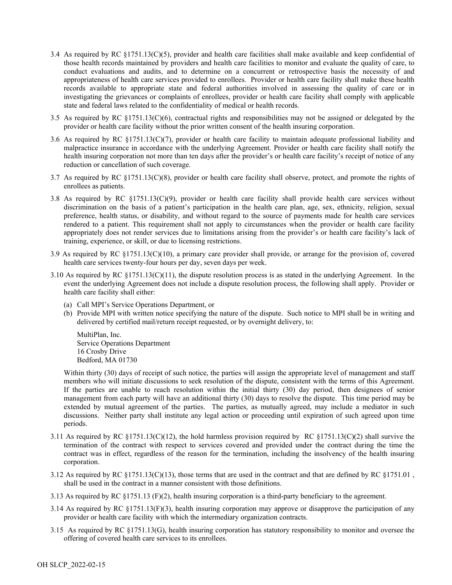- 3.4 As required by RC §1751.13(C)(5), provider and health care facilities shall make available and keep confidential of those health records maintained by providers and health care facilities to monitor and evaluate the quality of care, to conduct evaluations and audits, and to determine on a concurrent or retrospective basis the necessity of and appropriateness of health care services provided to enrollees. Provider or health care facility shall make these health records available to appropriate state and federal authorities involved in assessing the quality of care or in investigating the grievances or complaints of enrollees, provider or health care facility shall comply with applicable state and federal laws related to the confidentiality of medical or health records.
- 3.5 As required by RC §1751.13(C)(6), contractual rights and responsibilities may not be assigned or delegated by the provider or health care facility without the prior written consent of the health insuring corporation.
- 3.6 As required by RC §1751.13(C)(7), provider or health care facility to maintain adequate professional liability and malpractice insurance in accordance with the underlying Agreement. Provider or health care facility shall notify the health insuring corporation not more than ten days after the provider's or health care facility's receipt of notice of any reduction or cancellation of such coverage.
- 3.7 As required by RC §1751.13(C)(8), provider or health care facility shall observe, protect, and promote the rights of enrollees as patients.
- 3.8 As required by RC  $\S1751.13(C)(9)$ , provider or health care facility shall provide health care services without discrimination on the basis of a patient's participation in the health care plan, age, sex, ethnicity, religion, sexual preference, health status, or disability, and without regard to the source of payments made for health care services rendered to a patient. This requirement shall not apply to circumstances when the provider or health care facility appropriately does not render services due to limitations arising from the provider's or health care facility's lack of training, experience, or skill, or due to licensing restrictions.
- 3.9 As required by RC §1751.13(C)(10), a primary care provider shall provide, or arrange for the provision of, covered health care services twenty-four hours per day, seven days per week.
- 3.10 As required by RC  $\S1751.13(C)(11)$ , the dispute resolution process is as stated in the underlying Agreement. In the event the underlying Agreement does not include a dispute resolution process, the following shall apply. Provider or health care facility shall either:
	- (a) Call MPI's Service Operations Department, or
	- (b) Provide MPI with written notice specifying the nature of the dispute. Such notice to MPI shall be in writing and delivered by certified mail/return receipt requested, or by overnight delivery, to:

MultiPlan, Inc. Service Operations Department 16 Crosby Drive Bedford, MA 01730

Within thirty (30) days of receipt of such notice, the parties will assign the appropriate level of management and staff members who will initiate discussions to seek resolution of the dispute, consistent with the terms of this Agreement. If the parties are unable to reach resolution within the initial thirty (30) day period, then designees of senior management from each party will have an additional thirty (30) days to resolve the dispute. This time period may be extended by mutual agreement of the parties. The parties, as mutually agreed, may include a mediator in such discussions. Neither party shall institute any legal action or proceeding until expiration of such agreed upon time periods.

- 3.11 As required by RC  $\S1751.13(C)(12)$ , the hold harmless provision required by RC  $\S1751.13(C)(2)$  shall survive the termination of the contract with respect to services covered and provided under the contract during the time the contract was in effect, regardless of the reason for the termination, including the insolvency of the health insuring corporation.
- 3.12 As required by RC  $\S1751.13(C)(13)$ , those terms that are used in the contract and that are defined by RC  $\S1751.01$ , shall be used in the contract in a manner consistent with those definitions.
- 3.13 As required by RC  $\S 1751.13$  (F)(2), health insuring corporation is a third-party beneficiary to the agreement.
- 3.14 As required by RC  $\S 1751.13(F)(3)$ , health insuring corporation may approve or disapprove the participation of any provider or health care facility with which the intermediary organization contracts.
- 3.15 As required by RC §1751.13(G), health insuring corporation has statutory responsibility to monitor and oversee the offering of covered health care services to its enrollees.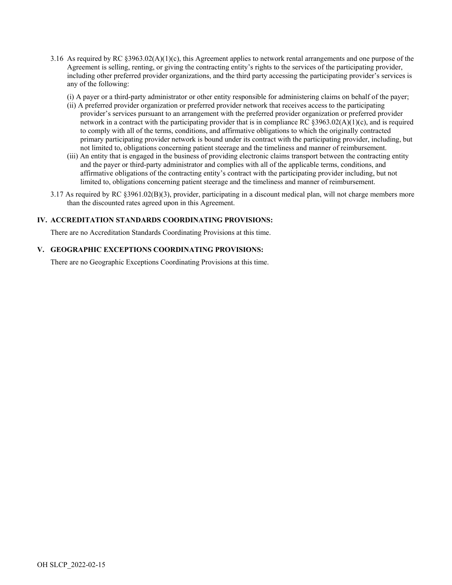- 3.16 As required by RC  $\S 3963.02(A)(1)(c)$ , this Agreement applies to network rental arrangements and one purpose of the Agreement is selling, renting, or giving the contracting entity's rights to the services of the participating provider, including other preferred provider organizations, and the third party accessing the participating provider's services is any of the following:
	- (i) A payer or a third-party administrator or other entity responsible for administering claims on behalf of the payer;
	- (ii) A preferred provider organization or preferred provider network that receives access to the participating provider's services pursuant to an arrangement with the preferred provider organization or preferred provider network in a contract with the participating provider that is in compliance RC §3963.02(A)(1)(c), and is required to comply with all of the terms, conditions, and affirmative obligations to which the originally contracted primary participating provider network is bound under its contract with the participating provider, including, but not limited to, obligations concerning patient steerage and the timeliness and manner of reimbursement.
	- (iii) An entity that is engaged in the business of providing electronic claims transport between the contracting entity and the payer or third-party administrator and complies with all of the applicable terms, conditions, and affirmative obligations of the contracting entity's contract with the participating provider including, but not limited to, obligations concerning patient steerage and the timeliness and manner of reimbursement.
- 3.17 As required by RC §3961.02(B)(3), provider, participating in a discount medical plan, will not charge members more than the discounted rates agreed upon in this Agreement.

### **IV. ACCREDITATION STANDARDS COORDINATING PROVISIONS:**

There are no Accreditation Standards Coordinating Provisions at this time.

#### **V. GEOGRAPHIC EXCEPTIONS COORDINATING PROVISIONS:**

There are no Geographic Exceptions Coordinating Provisions at this time.